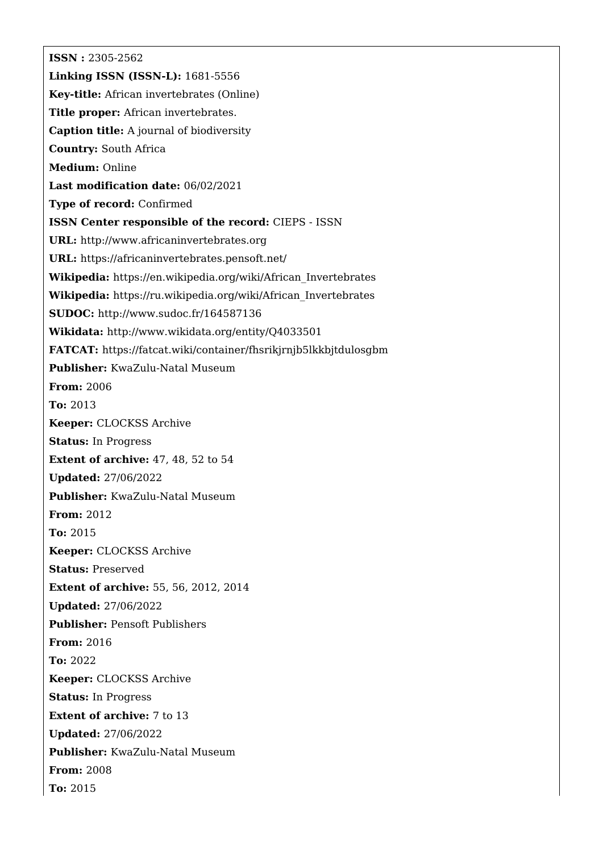**ISSN :** 2305-2562 **Linking ISSN (ISSN-L):** 1681-5556 **Key-title:** African invertebrates (Online) **Title proper:** African invertebrates. **Caption title:** A journal of biodiversity **Country:** South Africa **Medium:** Online **Last modification date:** 06/02/2021 **Type of record:** Confirmed **ISSN Center responsible of the record:** CIEPS - ISSN **URL:** <http://www.africaninvertebrates.org> **URL:** <https://africaninvertebrates.pensoft.net/> **Wikipedia:** [https://en.wikipedia.org/wiki/African\\_Invertebrates](https://en.wikipedia.org/wiki/African_Invertebrates) **Wikipedia:** [https://ru.wikipedia.org/wiki/African\\_Invertebrates](https://ru.wikipedia.org/wiki/African_Invertebrates) **SUDOC:** <http://www.sudoc.fr/164587136> **Wikidata:** <http://www.wikidata.org/entity/Q4033501> **FATCAT:** <https://fatcat.wiki/container/fhsrikjrnjb5lkkbjtdulosgbm> **Publisher:** KwaZulu-Natal Museum **From:** 2006 **To:** 2013 **Keeper:** CLOCKSS Archive **Status:** In Progress **Extent of archive:** 47, 48, 52 to 54 **Updated:** 27/06/2022 **Publisher:** KwaZulu-Natal Museum **From:** 2012 **To:** 2015 **Keeper:** CLOCKSS Archive **Status:** Preserved **Extent of archive:** 55, 56, 2012, 2014 **Updated:** 27/06/2022 **Publisher:** Pensoft Publishers **From:** 2016 **To:** 2022 **Keeper:** CLOCKSS Archive **Status:** In Progress **Extent of archive:** 7 to 13 **Updated:** 27/06/2022 **Publisher:** KwaZulu-Natal Museum **From:** 2008 **To:** 2015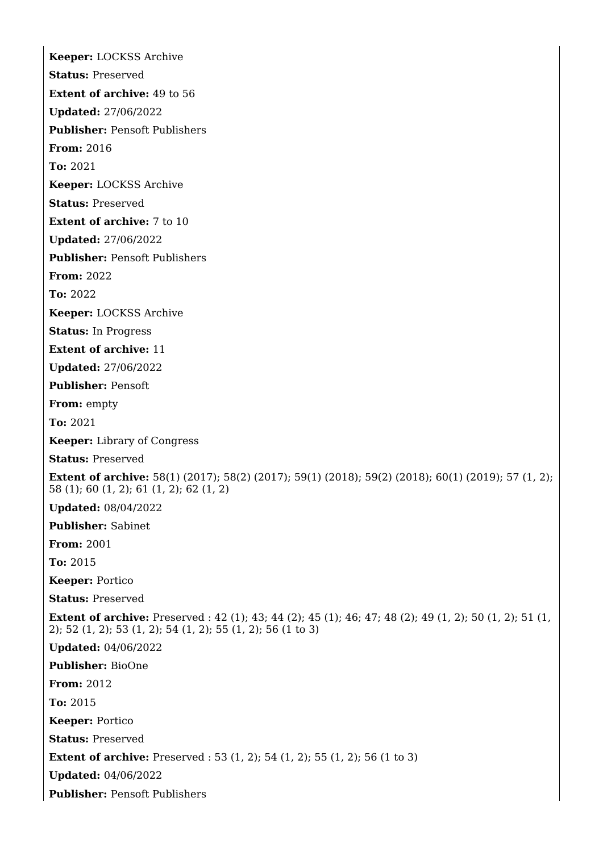**Keeper:** LOCKSS Archive **Status:** Preserved **Extent of archive:** 49 to 56 **Updated:** 27/06/2022 **Publisher:** Pensoft Publishers **From:** 2016 **To:** 2021 **Keeper:** LOCKSS Archive **Status:** Preserved **Extent of archive:** 7 to 10 **Updated:** 27/06/2022 **Publisher:** Pensoft Publishers **From:** 2022 **To:** 2022 **Keeper:** LOCKSS Archive **Status:** In Progress **Extent of archive:** 11 **Updated:** 27/06/2022 **Publisher:** Pensoft **From:** empty **To:** 2021 **Keeper:** Library of Congress **Status:** Preserved **Extent of archive:** 58(1) (2017); 58(2) (2017); 59(1) (2018); 59(2) (2018); 60(1) (2019); 57 (1, 2); 58 (1); 60 (1, 2); 61 (1, 2); 62 (1, 2) **Updated:** 08/04/2022 **Publisher:** Sabinet **From:** 2001 **To:** 2015 **Keeper:** Portico **Status:** Preserved **Extent of archive:** Preserved : 42 (1); 43; 44 (2); 45 (1); 46; 47; 48 (2); 49 (1, 2); 50 (1, 2); 51 (1, 2); 52 (1, 2); 53 (1, 2); 54 (1, 2); 55 (1, 2); 56 (1 to 3) **Updated:** 04/06/2022 **Publisher:** BioOne **From:** 2012 **To:** 2015 **Keeper:** Portico **Status:** Preserved **Extent of archive:** Preserved : 53 (1, 2); 54 (1, 2); 55 (1, 2); 56 (1 to 3) **Updated:** 04/06/2022 **Publisher:** Pensoft Publishers